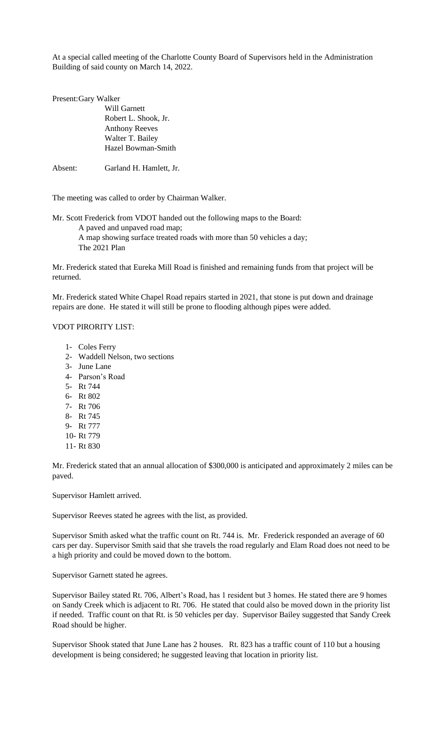At a special called meeting of the Charlotte County Board of Supervisors held in the Administration Building of said county on March 14, 2022.

| Present: Gary Walker |                         |
|----------------------|-------------------------|
|                      | Will Garnett            |
|                      | Robert L. Shook, Jr.    |
|                      | <b>Anthony Reeves</b>   |
|                      | Walter T. Bailey        |
|                      | Hazel Bowman-Smith      |
|                      |                         |
| Absent:              | Garland H. Hamlett, Jr. |

The meeting was called to order by Chairman Walker.

Mr. Scott Frederick from VDOT handed out the following maps to the Board: A paved and unpaved road map; A map showing surface treated roads with more than 50 vehicles a day; The 2021 Plan

Mr. Frederick stated that Eureka Mill Road is finished and remaining funds from that project will be returned.

Mr. Frederick stated White Chapel Road repairs started in 2021, that stone is put down and drainage repairs are done. He stated it will still be prone to flooding although pipes were added.

## VDOT PIRORITY LIST:

- 1- Coles Ferry
- 2- Waddell Nelson, two sections
- 3- June Lane
- 4- Parson's Road
- 5- Rt 744
- 6- Rt 802
- 7- Rt 706
- 8- Rt 745
- 9- Rt 777
- 10- Rt 779
- 11- Rt 830

Mr. Frederick stated that an annual allocation of \$300,000 is anticipated and approximately 2 miles can be paved.

Supervisor Hamlett arrived.

Supervisor Reeves stated he agrees with the list, as provided.

Supervisor Smith asked what the traffic count on Rt. 744 is. Mr. Frederick responded an average of 60 cars per day. Supervisor Smith said that she travels the road regularly and Elam Road does not need to be a high priority and could be moved down to the bottom.

Supervisor Garnett stated he agrees.

Supervisor Bailey stated Rt. 706, Albert's Road, has 1 resident but 3 homes. He stated there are 9 homes on Sandy Creek which is adjacent to Rt. 706. He stated that could also be moved down in the priority list if needed. Traffic count on that Rt. is 50 vehicles per day. Supervisor Bailey suggested that Sandy Creek Road should be higher.

Supervisor Shook stated that June Lane has 2 houses. Rt. 823 has a traffic count of 110 but a housing development is being considered; he suggested leaving that location in priority list.